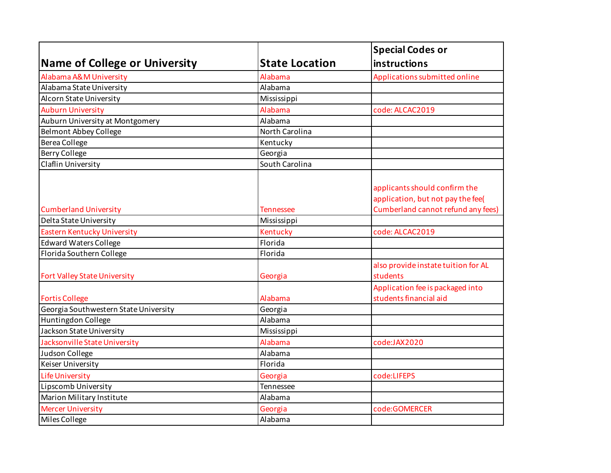|                                       |                       | <b>Special Codes or</b>                                                                                  |
|---------------------------------------|-----------------------|----------------------------------------------------------------------------------------------------------|
| Name of College or University         | <b>State Location</b> | instructions                                                                                             |
| Alabama A&M University                | Alabama               | Applications submitted online                                                                            |
| Alabama State University              | Alabama               |                                                                                                          |
| Alcorn State University               | Mississippi           |                                                                                                          |
| <b>Auburn University</b>              | Alabama               | code: ALCAC2019                                                                                          |
| Auburn University at Montgomery       | Alabama               |                                                                                                          |
| <b>Belmont Abbey College</b>          | North Carolina        |                                                                                                          |
| <b>Berea College</b>                  | Kentucky              |                                                                                                          |
| <b>Berry College</b>                  | Georgia               |                                                                                                          |
| Claflin University                    | South Carolina        |                                                                                                          |
|                                       |                       | applicants should confirm the<br>application, but not pay the fee(<br>Cumberland cannot refund any fees) |
| <b>Cumberland University</b>          | Tennessee             |                                                                                                          |
| Delta State University                | Mississippi           |                                                                                                          |
| <b>Eastern Kentucky University</b>    | Kentucky              | code: ALCAC2019                                                                                          |
| <b>Edward Waters College</b>          | Florida               |                                                                                                          |
| Florida Southern College              | Florida               |                                                                                                          |
| <b>Fort Valley State University</b>   | Georgia               | also provide instate tuition for AL<br>students                                                          |
| <b>Fortis College</b>                 | Alabama               | Application fee is packaged into<br>students financial aid                                               |
| Georgia Southwestern State University | Georgia               |                                                                                                          |
| Huntingdon College                    | Alabama               |                                                                                                          |
| Jackson State University              | Mississippi           |                                                                                                          |
| Jacksonville State University         | Alabama               | code:JAX2020                                                                                             |
| Judson College                        | Alabama               |                                                                                                          |
| Keiser University                     | Florida               |                                                                                                          |
| <b>Life University</b>                | Georgia               | code:LIFEPS                                                                                              |
| Lipscomb University                   | Tennessee             |                                                                                                          |
| <b>Marion Military Institute</b>      | Alabama               |                                                                                                          |
| <b>Mercer University</b>              | Georgia               | code:GOMERCER                                                                                            |
| Miles College                         | Alabama               |                                                                                                          |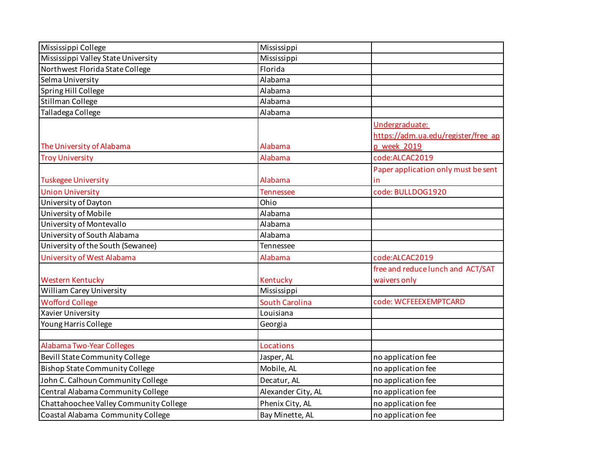| Mississippi College                    | Mississippi           |                                     |
|----------------------------------------|-----------------------|-------------------------------------|
| Mississippi Valley State University    | Mississippi           |                                     |
| Northwest Florida State College        | Florida               |                                     |
| Selma University                       | Alabama               |                                     |
| Spring Hill College                    | Alabama               |                                     |
| Stillman College                       | Alabama               |                                     |
| <b>Talladega College</b>               | Alabama               |                                     |
|                                        |                       | Undergraduate:                      |
|                                        |                       | https://adm.ua.edu/register/free_ap |
| The University of Alabama              | Alabama               | p week 2019                         |
| <b>Troy University</b>                 | Alabama               | code:ALCAC2019                      |
|                                        |                       | Paper application only must be sent |
| <b>Tuskegee University</b>             | Alabama               | in                                  |
| <b>Union University</b>                | <b>Tennessee</b>      | code: BULLDOG1920                   |
| University of Dayton                   | Ohio                  |                                     |
| University of Mobile                   | Alabama               |                                     |
| University of Montevallo               | Alabama               |                                     |
| University of South Alabama            | Alabama               |                                     |
| University of the South (Sewanee)      | Tennessee             |                                     |
| <b>University of West Alabama</b>      | Alabama               | code:ALCAC2019                      |
|                                        |                       | free and reduce lunch and ACT/SAT   |
| <b>Western Kentucky</b>                | Kentucky              | waivers only                        |
| <b>William Carey University</b>        | Mississippi           |                                     |
| <b>Wofford College</b>                 | <b>South Carolina</b> | code: WCFEEEXEMPTCARD               |
| Xavier University                      | Louisiana             |                                     |
| Young Harris College                   | Georgia               |                                     |
|                                        |                       |                                     |
| Alabama Two-Year Colleges              | Locations             |                                     |
| <b>Bevill State Community College</b>  | Jasper, AL            | no application fee                  |
| <b>Bishop State Community College</b>  | Mobile, AL            | no application fee                  |
| John C. Calhoun Community College      | Decatur, AL           | no application fee                  |
| Central Alabama Community College      | Alexander City, AL    | no application fee                  |
| Chattahoochee Valley Community College | Phenix City, AL       | no application fee                  |
| Coastal Alabama Community College      | Bay Minette, AL       | no application fee                  |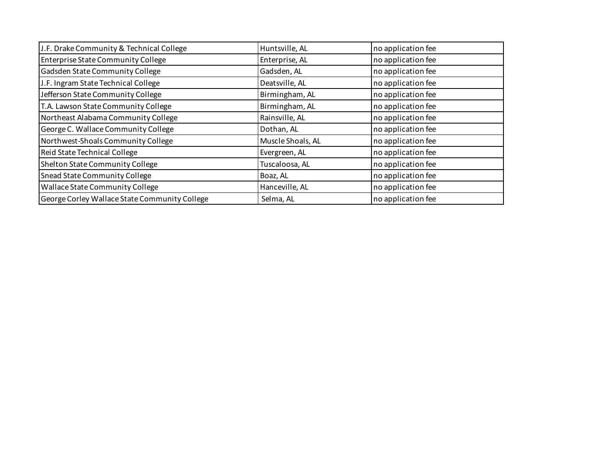| J.F. Drake Community & Technical College      | Huntsville, AL    | no application fee |
|-----------------------------------------------|-------------------|--------------------|
| Enterprise State Community College            | Enterprise, AL    | no application fee |
| Gadsden State Community College               | Gadsden, AL       | no application fee |
| J.F. Ingram State Technical College           | Deatsville, AL    | no application fee |
| Jefferson State Community College             | Birmingham, AL    | no application fee |
| T.A. Lawson State Community College           | Birmingham, AL    | no application fee |
| Northeast Alabama Community College           | Rainsville, AL    | no application fee |
| George C. Wallace Community College           | Dothan, AL        | no application fee |
| Northwest-Shoals Community College            | Muscle Shoals, AL | no application fee |
| Reid State Technical College                  | Evergreen, AL     | no application fee |
| Shelton State Community College               | Tuscaloosa, AL    | no application fee |
| Snead State Community College                 | Boaz, AL          | no application fee |
| Wallace State Community College               | Hanceville, AL    | no application fee |
| George Corley Wallace State Community College | Selma, AL         | no application fee |